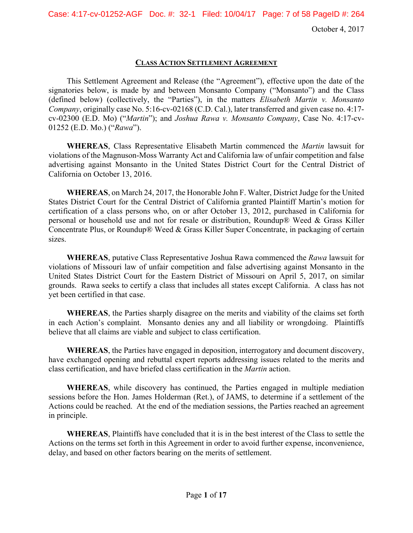Case: 4:17-cv-01252-AGF Doc. #: 32-1 Filed: 10/04/17 Page: 7 of 58 PageID #: 264

October 4, 2017

#### **CLASS ACTION SETTLEMENT AGREEMENT**

This Settlement Agreement and Release (the "Agreement"), effective upon the date of the signatories below, is made by and between Monsanto Company ("Monsanto") and the Class (defined below) (collectively, the "Parties"), in the matters *Elisabeth Martin v. Monsanto Company*, originally case No. 5:16-cv-02168 (C.D. Cal.), later transferred and given case no. 4:17 cv-02300 (E.D. Mo) ("*Martin*"); and *Joshua Rawa v. Monsanto Company*, Case No. 4:17-cv-01252 (E.D. Mo.) ("*Rawa*").

**WHEREAS**, Class Representative Elisabeth Martin commenced the *Martin* lawsuit for violations of the Magnuson-Moss Warranty Act and California law of unfair competition and false advertising against Monsanto in the United States District Court for the Central District of California on October 13, 2016.

**WHEREAS**, on March 24, 2017, the Honorable John F. Walter, District Judge for the United States District Court for the Central District of California granted Plaintiff Martin's motion for certification of a class persons who, on or after October 13, 2012, purchased in California for personal or household use and not for resale or distribution, Roundup® Weed & Grass Killer Concentrate Plus, or Roundup® Weed & Grass Killer Super Concentrate, in packaging of certain sizes.

**WHEREAS**, putative Class Representative Joshua Rawa commenced the *Rawa* lawsuit for violations of Missouri law of unfair competition and false advertising against Monsanto in the United States District Court for the Eastern District of Missouri on April 5, 2017, on similar grounds. Rawa seeks to certify a class that includes all states except California. A class has not yet been certified in that case.

**WHEREAS**, the Parties sharply disagree on the merits and viability of the claims set forth in each Action's complaint. Monsanto denies any and all liability or wrongdoing. Plaintiffs believe that all claims are viable and subject to class certification.

**WHEREAS**, the Parties have engaged in deposition, interrogatory and document discovery, have exchanged opening and rebuttal expert reports addressing issues related to the merits and class certification, and have briefed class certification in the *Martin* action.

**WHEREAS**, while discovery has continued, the Parties engaged in multiple mediation sessions before the Hon. James Holderman (Ret.), of JAMS, to determine if a settlement of the Actions could be reached. At the end of the mediation sessions, the Parties reached an agreement in principle.

**WHEREAS**, Plaintiffs have concluded that it is in the best interest of the Class to settle the Actions on the terms set forth in this Agreement in order to avoid further expense, inconvenience, delay, and based on other factors bearing on the merits of settlement.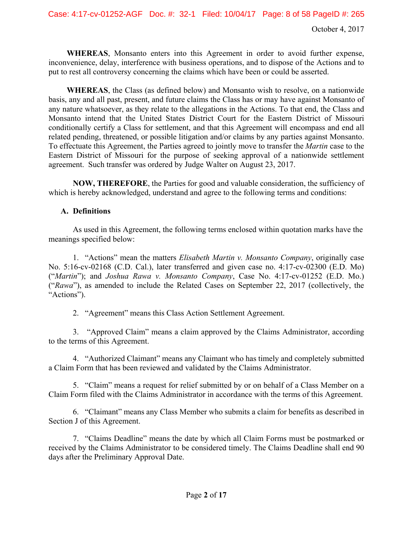**WHEREAS**, Monsanto enters into this Agreement in order to avoid further expense, inconvenience, delay, interference with business operations, and to dispose of the Actions and to put to rest all controversy concerning the claims which have been or could be asserted.

**WHEREAS**, the Class (as defined below) and Monsanto wish to resolve, on a nationwide basis, any and all past, present, and future claims the Class has or may have against Monsanto of any nature whatsoever, as they relate to the allegations in the Actions. To that end, the Class and Monsanto intend that the United States District Court for the Eastern District of Missouri conditionally certify a Class for settlement, and that this Agreement will encompass and end all related pending, threatened, or possible litigation and/or claims by any parties against Monsanto. To effectuate this Agreement, the Parties agreed to jointly move to transfer the *Martin* case to the Eastern District of Missouri for the purpose of seeking approval of a nationwide settlement agreement. Such transfer was ordered by Judge Walter on August 23, 2017.

**NOW, THEREFORE**, the Parties for good and valuable consideration, the sufficiency of which is hereby acknowledged, understand and agree to the following terms and conditions:

# **A. Definitions**

As used in this Agreement, the following terms enclosed within quotation marks have the meanings specified below:

1. "Actions" mean the matters *Elisabeth Martin v. Monsanto Company*, originally case No. 5:16-cv-02168 (C.D. Cal.), later transferred and given case no. 4:17-cv-02300 (E.D. Mo) ("*Martin*"); and *Joshua Rawa v. Monsanto Company*, Case No. 4:17-cv-01252 (E.D. Mo.) ("*Rawa*"), as amended to include the Related Cases on September 22, 2017 (collectively, the "Actions").

2. "Agreement" means this Class Action Settlement Agreement.

3. "Approved Claim" means a claim approved by the Claims Administrator, according to the terms of this Agreement.

4. "Authorized Claimant" means any Claimant who has timely and completely submitted a Claim Form that has been reviewed and validated by the Claims Administrator.

5. "Claim" means a request for relief submitted by or on behalf of a Class Member on a Claim Form filed with the Claims Administrator in accordance with the terms of this Agreement.

6. "Claimant" means any Class Member who submits a claim for benefits as described in Section J of this Agreement.

7. "Claims Deadline" means the date by which all Claim Forms must be postmarked or received by the Claims Administrator to be considered timely. The Claims Deadline shall end 90 days after the Preliminary Approval Date.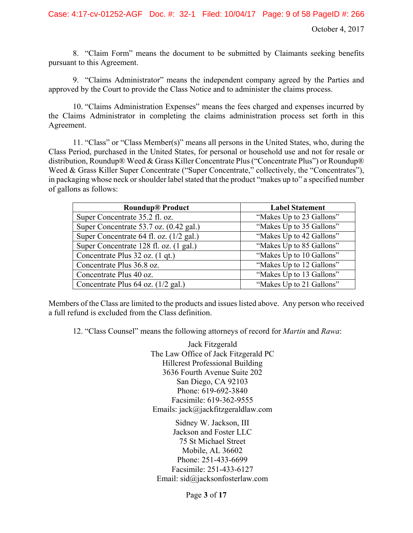8. "Claim Form" means the document to be submitted by Claimants seeking benefits pursuant to this Agreement.

9. "Claims Administrator" means the independent company agreed by the Parties and approved by the Court to provide the Class Notice and to administer the claims process.

10. "Claims Administration Expenses" means the fees charged and expenses incurred by the Claims Administrator in completing the claims administration process set forth in this Agreement.

11. "Class" or "Class Member(s)" means all persons in the United States, who, during the Class Period, purchased in the United States, for personal or household use and not for resale or distribution, Roundup® Weed & Grass Killer Concentrate Plus ("Concentrate Plus") or Roundup® Weed & Grass Killer Super Concentrate ("Super Concentrate," collectively, the "Concentrates"), in packaging whose neck or shoulder label stated that the product "makes up to" a specified number of gallons as follows:

| <b>Roundup® Product</b>                 | <b>Label Statement</b>   |
|-----------------------------------------|--------------------------|
| Super Concentrate 35.2 fl. oz.          | "Makes Up to 23 Gallons" |
| Super Concentrate 53.7 oz. (0.42 gal.)  | "Makes Up to 35 Gallons" |
| Super Concentrate 64 fl. oz. (1/2 gal.) | "Makes Up to 42 Gallons" |
| Super Concentrate 128 fl. oz. (1 gal.)  | "Makes Up to 85 Gallons" |
| Concentrate Plus 32 oz. (1 qt.)         | "Makes Up to 10 Gallons" |
| Concentrate Plus 36.8 oz.               | "Makes Up to 12 Gallons" |
| Concentrate Plus 40 oz.                 | "Makes Up to 13 Gallons" |
| Concentrate Plus 64 oz. (1/2 gal.)      | "Makes Up to 21 Gallons" |

Members of the Class are limited to the products and issues listed above. Any person who received a full refund is excluded from the Class definition.

12. "Class Counsel" means the following attorneys of record for *Martin* and *Rawa*:

Jack Fitzgerald The Law Office of Jack Fitzgerald PC Hillcrest Professional Building 3636 Fourth Avenue Suite 202 San Diego, CA 92103 Phone: 619-692-3840 Facsimile: 619-362-9555 Emails: jack@jackfitzgeraldlaw.com

Sidney W. Jackson, III Jackson and Foster LLC 75 St Michael Street Mobile, AL 36602 Phone: 251-433-6699 Facsimile: 251-433-6127 Email: sid@jacksonfosterlaw.com

Page **3** of **17**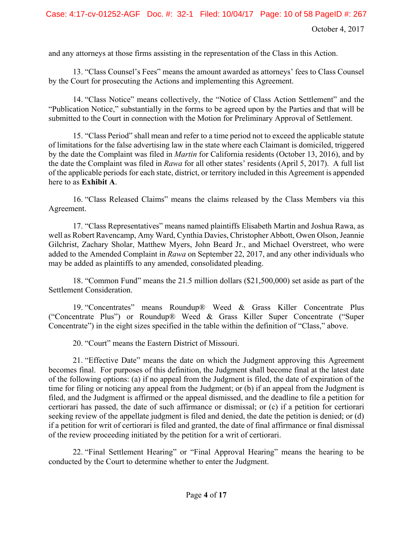and any attorneys at those firms assisting in the representation of the Class in this Action.

13. "Class Counsel's Fees" means the amount awarded as attorneys' fees to Class Counsel by the Court for prosecuting the Actions and implementing this Agreement.

14. "Class Notice" means collectively, the "Notice of Class Action Settlement" and the "Publication Notice," substantially in the forms to be agreed upon by the Parties and that will be submitted to the Court in connection with the Motion for Preliminary Approval of Settlement.

15. "Class Period" shall mean and refer to a time period not to exceed the applicable statute of limitations for the false advertising law in the state where each Claimant is domiciled, triggered by the date the Complaint was filed in *Martin* for California residents (October 13, 2016), and by the date the Complaint was filed in *Rawa* for all other states' residents (April 5, 2017). A full list of the applicable periods for each state, district, or territory included in this Agreement is appended here to as **Exhibit A**.

16. "Class Released Claims" means the claims released by the Class Members via this Agreement.

17. "Class Representatives" means named plaintiffs Elisabeth Martin and Joshua Rawa, as well as Robert Ravencamp, Amy Ward, Cynthia Davies, Christopher Abbott, Owen Olson, Jeannie Gilchrist, Zachary Sholar, Matthew Myers, John Beard Jr., and Michael Overstreet, who were added to the Amended Complaint in *Rawa* on September 22, 2017, and any other individuals who may be added as plaintiffs to any amended, consolidated pleading.

18. "Common Fund" means the 21.5 million dollars (\$21,500,000) set aside as part of the Settlement Consideration.

19. "Concentrates" means Roundup® Weed & Grass Killer Concentrate Plus ("Concentrate Plus") or Roundup® Weed & Grass Killer Super Concentrate ("Super Concentrate") in the eight sizes specified in the table within the definition of "Class," above.

20. "Court" means the Eastern District of Missouri.

21. "Effective Date" means the date on which the Judgment approving this Agreement becomes final. For purposes of this definition, the Judgment shall become final at the latest date of the following options: (a) if no appeal from the Judgment is filed, the date of expiration of the time for filing or noticing any appeal from the Judgment; or (b) if an appeal from the Judgment is filed, and the Judgment is affirmed or the appeal dismissed, and the deadline to file a petition for certiorari has passed, the date of such affirmance or dismissal; or (c) if a petition for certiorari seeking review of the appellate judgment is filed and denied, the date the petition is denied; or (d) if a petition for writ of certiorari is filed and granted, the date of final affirmance or final dismissal of the review proceeding initiated by the petition for a writ of certiorari.

22. "Final Settlement Hearing" or "Final Approval Hearing" means the hearing to be conducted by the Court to determine whether to enter the Judgment.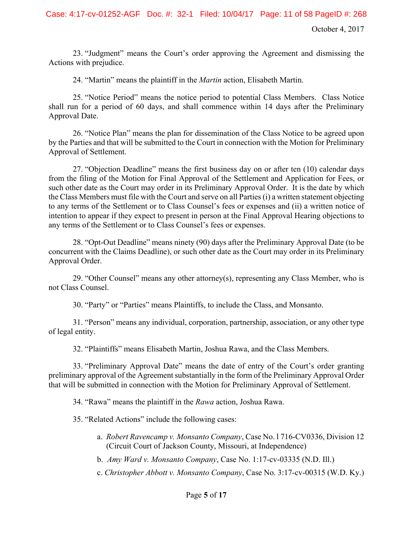23. "Judgment" means the Court's order approving the Agreement and dismissing the Actions with prejudice.

24. "Martin" means the plaintiff in the *Martin* action, Elisabeth Martin.

25. "Notice Period" means the notice period to potential Class Members. Class Notice shall run for a period of 60 days, and shall commence within 14 days after the Preliminary Approval Date.

26. "Notice Plan" means the plan for dissemination of the Class Notice to be agreed upon by the Parties and that will be submitted to the Court in connection with the Motion for Preliminary Approval of Settlement.

27. "Objection Deadline" means the first business day on or after ten (10) calendar days from the filing of the Motion for Final Approval of the Settlement and Application for Fees, or such other date as the Court may order in its Preliminary Approval Order. It is the date by which the Class Members must file with the Court and serve on all Parties (i) a written statement objecting to any terms of the Settlement or to Class Counsel's fees or expenses and (ii) a written notice of intention to appear if they expect to present in person at the Final Approval Hearing objections to any terms of the Settlement or to Class Counsel's fees or expenses.

28. "Opt-Out Deadline" means ninety (90) days after the Preliminary Approval Date (to be concurrent with the Claims Deadline), or such other date as the Court may order in its Preliminary Approval Order.

29. "Other Counsel" means any other attorney(s), representing any Class Member, who is not Class Counsel.

30. "Party" or "Parties" means Plaintiffs, to include the Class, and Monsanto.

31. "Person" means any individual, corporation, partnership, association, or any other type of legal entity.

32. "Plaintiffs" means Elisabeth Martin, Joshua Rawa, and the Class Members.

33. "Preliminary Approval Date" means the date of entry of the Court's order granting preliminary approval of the Agreement substantially in the form of the Preliminary Approval Order that will be submitted in connection with the Motion for Preliminary Approval of Settlement.

34. "Rawa" means the plaintiff in the *Rawa* action, Joshua Rawa.

35. "Related Actions" include the following cases:

- a. *Robert Ravencamp v. Monsanto Company*, Case No. l 716-CV0336, Division 12 (Circuit Court of Jackson County, Missouri, at Independence)
- b. *Amy Ward v. Monsanto Company*, Case No. 1:17-cv-03335 (N.D. Ill.)
- c. *Christopher Abbott v. Monsanto Company*, Case No. 3:17-cv-00315 (W.D. Ky.)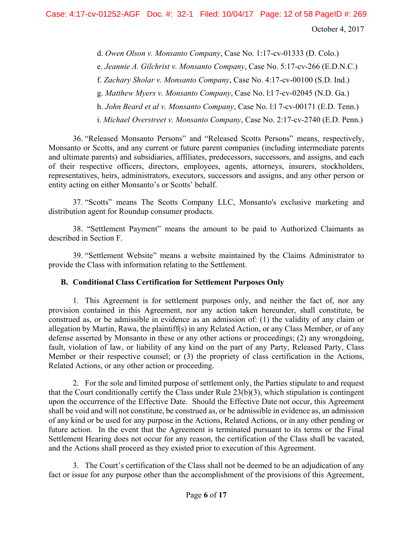October 4, 2017

d. *Owen Olson v. Monsanto Company*, Case No. 1:17-cv-01333 (D. Colo.)

e. *Jeannie A. Gilchrist v. Monsanto Company*, Case No. 5:17-cv-266 (E.D.N.C.)

f. *Zachary Sholar v. Monsanto Company*, Case No. 4:17-cv-00100 (S.D. Ind.)

g. *Matthew Myers v. Monsanto Company*, Case No. l:l 7-cv-02045 (N.D. Ga.)

h. *John Beard et al v. Monsanto Company*, Case No. l:l 7-cv-00171 (E.D. Tenn.)

i. *Michael Overstreet v. Monsanto Company*, Case No. 2:17-cv-2740 (E.D. Penn.)

36. "Released Monsanto Persons" and "Released Scotts Persons" means, respectively, Monsanto or Scotts, and any current or future parent companies (including intermediate parents and ultimate parents) and subsidiaries, affiliates, predecessors, successors, and assigns, and each of their respective officers, directors, employees, agents, attorneys, insurers, stockholders, representatives, heirs, administrators, executors, successors and assigns, and any other person or entity acting on either Monsanto's or Scotts' behalf.

37. "Scotts" means The Scotts Company LLC, Monsanto's exclusive marketing and distribution agent for Roundup consumer products.

38. "Settlement Payment" means the amount to be paid to Authorized Claimants as described in Section F.

39. "Settlement Website" means a website maintained by the Claims Administrator to provide the Class with information relating to the Settlement.

# **B. Conditional Class Certification for Settlement Purposes Only**

1. This Agreement is for settlement purposes only, and neither the fact of, nor any provision contained in this Agreement, nor any action taken hereunder, shall constitute, be construed as, or be admissible in evidence as an admission of: (1) the validity of any claim or allegation by Martin, Rawa, the plaintiff(s) in any Related Action, or any Class Member, or of any defense asserted by Monsanto in these or any other actions or proceedings; (2) any wrongdoing, fault, violation of law, or liability of any kind on the part of any Party, Released Party, Class Member or their respective counsel; or (3) the propriety of class certification in the Actions, Related Actions, or any other action or proceeding.

2. For the sole and limited purpose of settlement only, the Parties stipulate to and request that the Court conditionally certify the Class under Rule 23(b)(3), which stipulation is contingent upon the occurrence of the Effective Date. Should the Effective Date not occur, this Agreement shall be void and will not constitute, be construed as, or be admissible in evidence as, an admission of any kind or be used for any purpose in the Actions, Related Actions, or in any other pending or future action. In the event that the Agreement is terminated pursuant to its terms or the Final Settlement Hearing does not occur for any reason, the certification of the Class shall be vacated, and the Actions shall proceed as they existed prior to execution of this Agreement.

3. The Court's certification of the Class shall not be deemed to be an adjudication of any fact or issue for any purpose other than the accomplishment of the provisions of this Agreement,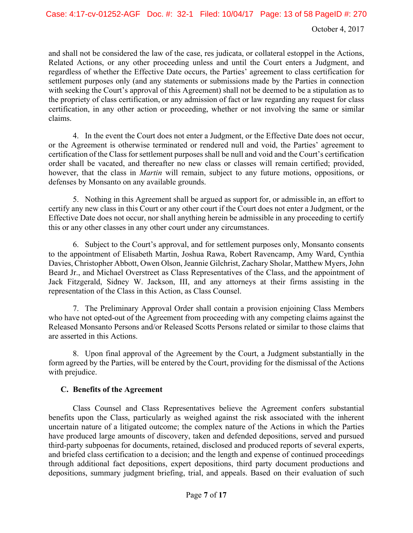and shall not be considered the law of the case, res judicata, or collateral estoppel in the Actions, Related Actions, or any other proceeding unless and until the Court enters a Judgment, and regardless of whether the Effective Date occurs, the Parties' agreement to class certification for settlement purposes only (and any statements or submissions made by the Parties in connection with seeking the Court's approval of this Agreement) shall not be deemed to be a stipulation as to the propriety of class certification, or any admission of fact or law regarding any request for class certification, in any other action or proceeding, whether or not involving the same or similar claims.

4. In the event the Court does not enter a Judgment, or the Effective Date does not occur, or the Agreement is otherwise terminated or rendered null and void, the Parties' agreement to certification of the Class for settlement purposes shall be null and void and the Court's certification order shall be vacated, and thereafter no new class or classes will remain certified; provided, however, that the class in *Martin* will remain, subject to any future motions, oppositions, or defenses by Monsanto on any available grounds.

5. Nothing in this Agreement shall be argued as support for, or admissible in, an effort to certify any new class in this Court or any other court if the Court does not enter a Judgment, or the Effective Date does not occur, nor shall anything herein be admissible in any proceeding to certify this or any other classes in any other court under any circumstances.

6. Subject to the Court's approval, and for settlement purposes only, Monsanto consents to the appointment of Elisabeth Martin, Joshua Rawa, Robert Ravencamp, Amy Ward, Cynthia Davies, Christopher Abbott, Owen Olson, Jeannie Gilchrist, Zachary Sholar, Matthew Myers, John Beard Jr., and Michael Overstreet as Class Representatives of the Class, and the appointment of Jack Fitzgerald, Sidney W. Jackson, III, and any attorneys at their firms assisting in the representation of the Class in this Action, as Class Counsel.

7. The Preliminary Approval Order shall contain a provision enjoining Class Members who have not opted-out of the Agreement from proceeding with any competing claims against the Released Monsanto Persons and/or Released Scotts Persons related or similar to those claims that are asserted in this Actions.

8. Upon final approval of the Agreement by the Court, a Judgment substantially in the form agreed by the Parties, will be entered by the Court, providing for the dismissal of the Actions with prejudice.

#### **C. Benefits of the Agreement**

Class Counsel and Class Representatives believe the Agreement confers substantial benefits upon the Class, particularly as weighed against the risk associated with the inherent uncertain nature of a litigated outcome; the complex nature of the Actions in which the Parties have produced large amounts of discovery, taken and defended depositions, served and pursued third-party subpoenas for documents, retained, disclosed and produced reports of several experts, and briefed class certification to a decision; and the length and expense of continued proceedings through additional fact depositions, expert depositions, third party document productions and depositions, summary judgment briefing, trial, and appeals. Based on their evaluation of such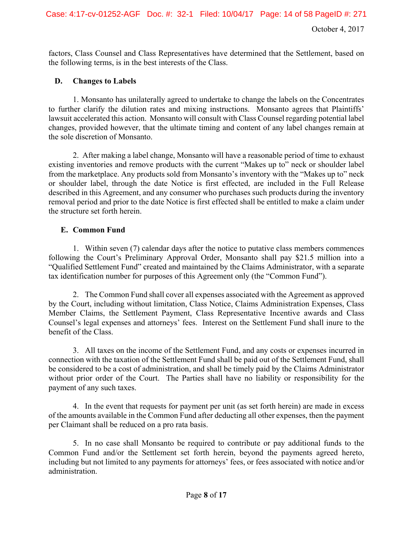October 4, 2017

factors, Class Counsel and Class Representatives have determined that the Settlement, based on the following terms, is in the best interests of the Class.

# **D. Changes to Labels**

1. Monsanto has unilaterally agreed to undertake to change the labels on the Concentrates to further clarify the dilution rates and mixing instructions. Monsanto agrees that Plaintiffs' lawsuit accelerated this action. Monsanto will consult with Class Counsel regarding potential label changes, provided however, that the ultimate timing and content of any label changes remain at the sole discretion of Monsanto.

 2. After making a label change, Monsanto will have a reasonable period of time to exhaust existing inventories and remove products with the current "Makes up to" neck or shoulder label from the marketplace. Any products sold from Monsanto's inventory with the "Makes up to" neck or shoulder label, through the date Notice is first effected, are included in the Full Release described in this Agreement, and any consumer who purchases such products during the inventory removal period and prior to the date Notice is first effected shall be entitled to make a claim under the structure set forth herein.

# **E. Common Fund**

1. Within seven (7) calendar days after the notice to putative class members commences following the Court's Preliminary Approval Order, Monsanto shall pay \$21.5 million into a "Qualified Settlement Fund" created and maintained by the Claims Administrator, with a separate tax identification number for purposes of this Agreement only (the "Common Fund").

2. The Common Fund shall cover all expenses associated with the Agreement as approved by the Court, including without limitation, Class Notice, Claims Administration Expenses, Class Member Claims, the Settlement Payment, Class Representative Incentive awards and Class Counsel's legal expenses and attorneys' fees. Interest on the Settlement Fund shall inure to the benefit of the Class.

3. All taxes on the income of the Settlement Fund, and any costs or expenses incurred in connection with the taxation of the Settlement Fund shall be paid out of the Settlement Fund, shall be considered to be a cost of administration, and shall be timely paid by the Claims Administrator without prior order of the Court. The Parties shall have no liability or responsibility for the payment of any such taxes.

4. In the event that requests for payment per unit (as set forth herein) are made in excess of the amounts available in the Common Fund after deducting all other expenses, then the payment per Claimant shall be reduced on a pro rata basis.

5. In no case shall Monsanto be required to contribute or pay additional funds to the Common Fund and/or the Settlement set forth herein, beyond the payments agreed hereto, including but not limited to any payments for attorneys' fees, or fees associated with notice and/or administration.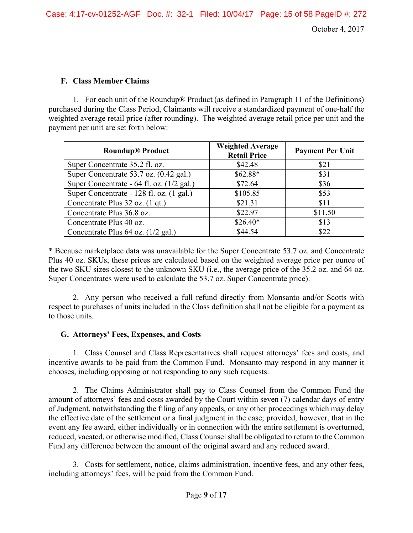#### **F. Class Member Claims**

1. For each unit of the Roundup® Product (as defined in Paragraph 11 of the Definitions) purchased during the Class Period, Claimants will receive a standardized payment of one-half the weighted average retail price (after rounding). The weighted average retail price per unit and the payment per unit are set forth below:

| <b>Roundup® Product</b>                   | <b>Weighted Average</b><br><b>Retail Price</b> | <b>Payment Per Unit</b> |
|-------------------------------------------|------------------------------------------------|-------------------------|
| Super Concentrate 35.2 fl. oz.            | \$42.48                                        | \$21                    |
| Super Concentrate 53.7 oz. (0.42 gal.)    | \$62.88*                                       | \$31                    |
| Super Concentrate - 64 fl. oz. (1/2 gal.) | \$72.64                                        | \$36                    |
| Super Concentrate - 128 fl. oz. (1 gal.)  | \$105.85                                       | \$53                    |
| Concentrate Plus 32 oz. (1 qt.)           | \$21.31                                        | \$11                    |
| Concentrate Plus 36.8 oz.                 | \$22.97                                        | \$11.50                 |
| Concentrate Plus 40 oz.                   | $$26.40*$                                      | \$13                    |
| Concentrate Plus 64 oz. (1/2 gal.)        | \$44.54                                        | \$22                    |

\* Because marketplace data was unavailable for the Super Concentrate 53.7 oz. and Concentrate Plus 40 oz. SKUs, these prices are calculated based on the weighted average price per ounce of the two SKU sizes closest to the unknown SKU (i.e., the average price of the 35.2 oz. and 64 oz. Super Concentrates were used to calculate the 53.7 oz. Super Concentrate price).

2. Any person who received a full refund directly from Monsanto and/or Scotts with respect to purchases of units included in the Class definition shall not be eligible for a payment as to those units.

#### **G. Attorneys' Fees, Expenses, and Costs**

1. Class Counsel and Class Representatives shall request attorneys' fees and costs, and incentive awards to be paid from the Common Fund. Monsanto may respond in any manner it chooses, including opposing or not responding to any such requests.

2. The Claims Administrator shall pay to Class Counsel from the Common Fund the amount of attorneys' fees and costs awarded by the Court within seven (7) calendar days of entry of Judgment, notwithstanding the filing of any appeals, or any other proceedings which may delay the effective date of the settlement or a final judgment in the case; provided, however, that in the event any fee award, either individually or in connection with the entire settlement is overturned, reduced, vacated, or otherwise modified, Class Counsel shall be obligated to return to the Common Fund any difference between the amount of the original award and any reduced award.

3. Costs for settlement, notice, claims administration, incentive fees, and any other fees, including attorneys' fees, will be paid from the Common Fund.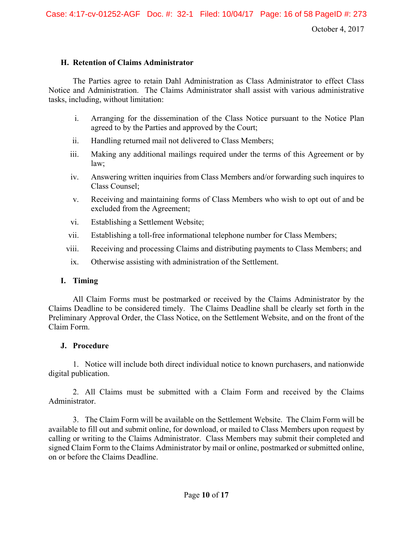#### **H. Retention of Claims Administrator**

The Parties agree to retain Dahl Administration as Class Administrator to effect Class Notice and Administration. The Claims Administrator shall assist with various administrative tasks, including, without limitation:

- i. Arranging for the dissemination of the Class Notice pursuant to the Notice Plan agreed to by the Parties and approved by the Court;
- ii. Handling returned mail not delivered to Class Members;
- iii. Making any additional mailings required under the terms of this Agreement or by law;
- iv. Answering written inquiries from Class Members and/or forwarding such inquires to Class Counsel;
- v. Receiving and maintaining forms of Class Members who wish to opt out of and be excluded from the Agreement;
- vi. Establishing a Settlement Website;
- vii. Establishing a toll-free informational telephone number for Class Members;
- viii. Receiving and processing Claims and distributing payments to Class Members; and
- ix. Otherwise assisting with administration of the Settlement.

# **I. Timing**

All Claim Forms must be postmarked or received by the Claims Administrator by the Claims Deadline to be considered timely. The Claims Deadline shall be clearly set forth in the Preliminary Approval Order, the Class Notice, on the Settlement Website, and on the front of the Claim Form.

# **J. Procedure**

1. Notice will include both direct individual notice to known purchasers, and nationwide digital publication.

2. All Claims must be submitted with a Claim Form and received by the Claims Administrator.

3. The Claim Form will be available on the Settlement Website. The Claim Form will be available to fill out and submit online, for download, or mailed to Class Members upon request by calling or writing to the Claims Administrator. Class Members may submit their completed and signed Claim Form to the Claims Administrator by mail or online, postmarked or submitted online, on or before the Claims Deadline.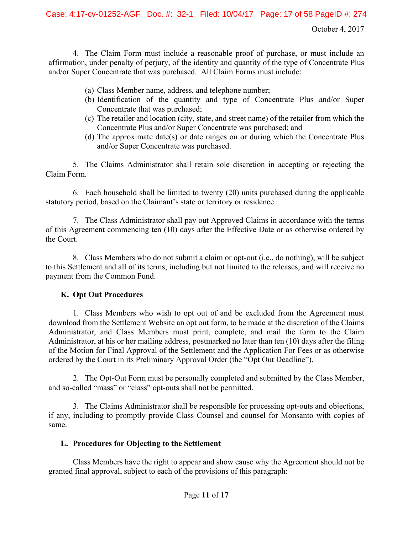4. The Claim Form must include a reasonable proof of purchase, or must include an affirmation, under penalty of perjury, of the identity and quantity of the type of Concentrate Plus and/or Super Concentrate that was purchased. All Claim Forms must include:

- (a) Class Member name, address, and telephone number;
- (b) Identification of the quantity and type of Concentrate Plus and/or Super Concentrate that was purchased;
- (c) The retailer and location (city, state, and street name) of the retailer from which the Concentrate Plus and/or Super Concentrate was purchased; and
- (d) The approximate date(s) or date ranges on or during which the Concentrate Plus and/or Super Concentrate was purchased.

5. The Claims Administrator shall retain sole discretion in accepting or rejecting the Claim Form.

6. Each household shall be limited to twenty (20) units purchased during the applicable statutory period, based on the Claimant's state or territory or residence.

7. The Class Administrator shall pay out Approved Claims in accordance with the terms of this Agreement commencing ten (10) days after the Effective Date or as otherwise ordered by the Court.

8. Class Members who do not submit a claim or opt-out (i.e., do nothing), will be subject to this Settlement and all of its terms, including but not limited to the releases, and will receive no payment from the Common Fund.

# **K. Opt Out Procedures**

1. Class Members who wish to opt out of and be excluded from the Agreement must download from the Settlement Website an opt out form, to be made at the discretion of the Claims Administrator, and Class Members must print, complete, and mail the form to the Claim Administrator, at his or her mailing address, postmarked no later than ten (10) days after the filing of the Motion for Final Approval of the Settlement and the Application For Fees or as otherwise ordered by the Court in its Preliminary Approval Order (the "Opt Out Deadline").

2. The Opt-Out Form must be personally completed and submitted by the Class Member, and so-called "mass" or "class" opt-outs shall not be permitted.

3. The Claims Administrator shall be responsible for processing opt-outs and objections, if any, including to promptly provide Class Counsel and counsel for Monsanto with copies of same.

# **L. Procedures for Objecting to the Settlement**

 Class Members have the right to appear and show cause why the Agreement should not be granted final approval, subject to each of the provisions of this paragraph: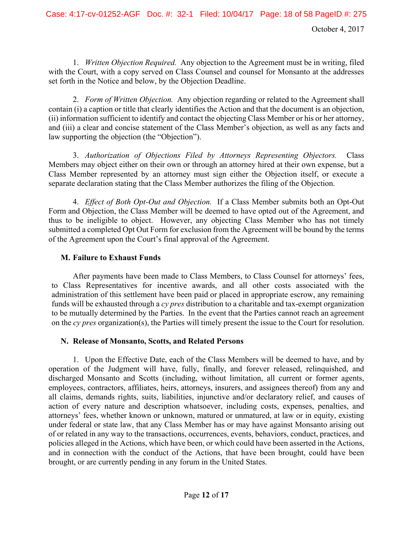1. *Written Objection Required.* Any objection to the Agreement must be in writing, filed with the Court, with a copy served on Class Counsel and counsel for Monsanto at the addresses set forth in the Notice and below, by the Objection Deadline.

2. *Form of Written Objection.* Any objection regarding or related to the Agreement shall contain (i) a caption or title that clearly identifies the Action and that the document is an objection, (ii) information sufficient to identify and contact the objecting Class Member or his or her attorney, and (iii) a clear and concise statement of the Class Member's objection, as well as any facts and law supporting the objection (the "Objection").

3. *Authorization of Objections Filed by Attorneys Representing Objectors.* Class Members may object either on their own or through an attorney hired at their own expense, but a Class Member represented by an attorney must sign either the Objection itself, or execute a separate declaration stating that the Class Member authorizes the filing of the Objection.

4. *Effect of Both Opt-Out and Objection.* If a Class Member submits both an Opt-Out Form and Objection, the Class Member will be deemed to have opted out of the Agreement, and thus to be ineligible to object. However, any objecting Class Member who has not timely submitted a completed Opt Out Form for exclusion from the Agreement will be bound by the terms of the Agreement upon the Court's final approval of the Agreement.

# **M. Failure to Exhaust Funds**

 After payments have been made to Class Members, to Class Counsel for attorneys' fees, to Class Representatives for incentive awards, and all other costs associated with the administration of this settlement have been paid or placed in appropriate escrow, any remaining funds will be exhausted through a *cy pres* distribution to a charitable and tax-exempt organization to be mutually determined by the Parties. In the event that the Parties cannot reach an agreement on the *cy pres* organization(s), the Parties will timely present the issue to the Court for resolution.

# **N. Release of Monsanto, Scotts, and Related Persons**

1. Upon the Effective Date, each of the Class Members will be deemed to have, and by operation of the Judgment will have, fully, finally, and forever released, relinquished, and discharged Monsanto and Scotts (including, without limitation, all current or former agents, employees, contractors, affiliates, heirs, attorneys, insurers, and assignees thereof) from any and all claims, demands rights, suits, liabilities, injunctive and/or declaratory relief, and causes of action of every nature and description whatsoever, including costs, expenses, penalties, and attorneys' fees, whether known or unknown, matured or unmatured, at law or in equity, existing under federal or state law, that any Class Member has or may have against Monsanto arising out of or related in any way to the transactions, occurrences, events, behaviors, conduct, practices, and policies alleged in the Actions, which have been, or which could have been asserted in the Actions, and in connection with the conduct of the Actions, that have been brought, could have been brought, or are currently pending in any forum in the United States.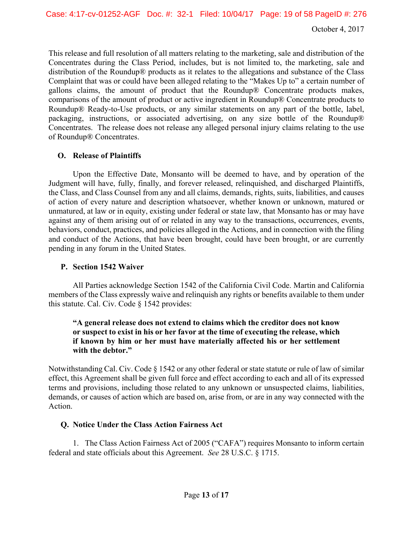This release and full resolution of all matters relating to the marketing, sale and distribution of the Concentrates during the Class Period, includes, but is not limited to, the marketing, sale and distribution of the Roundup® products as it relates to the allegations and substance of the Class Complaint that was or could have been alleged relating to the "Makes Up to" a certain number of gallons claims, the amount of product that the Roundup® Concentrate products makes, comparisons of the amount of product or active ingredient in Roundup® Concentrate products to Roundup® Ready-to-Use products, or any similar statements on any part of the bottle, label, packaging, instructions, or associated advertising, on any size bottle of the Roundup® Concentrates. The release does not release any alleged personal injury claims relating to the use of Roundup® Concentrates.

# **O. Release of Plaintiffs**

 Upon the Effective Date, Monsanto will be deemed to have, and by operation of the Judgment will have, fully, finally, and forever released, relinquished, and discharged Plaintiffs, the Class, and Class Counsel from any and all claims, demands, rights, suits, liabilities, and causes of action of every nature and description whatsoever, whether known or unknown, matured or unmatured, at law or in equity, existing under federal or state law, that Monsanto has or may have against any of them arising out of or related in any way to the transactions, occurrences, events, behaviors, conduct, practices, and policies alleged in the Actions, and in connection with the filing and conduct of the Actions, that have been brought, could have been brought, or are currently pending in any forum in the United States.

# **P. Section 1542 Waiver**

 All Parties acknowledge Section 1542 of the California Civil Code. Martin and California members of the Class expressly waive and relinquish any rights or benefits available to them under this statute. Cal. Civ. Code  $\S$  1542 provides:

#### **"A general release does not extend to claims which the creditor does not know or suspect to exist in his or her favor at the time of executing the release, which if known by him or her must have materially affected his or her settlement with the debtor."**

Notwithstanding Cal. Civ. Code § 1542 or any other federal or state statute or rule of law of similar effect, this Agreement shall be given full force and effect according to each and all of its expressed terms and provisions, including those related to any unknown or unsuspected claims, liabilities, demands, or causes of action which are based on, arise from, or are in any way connected with the Action.

# **Q. Notice Under the Class Action Fairness Act**

1. The Class Action Fairness Act of 2005 ("CAFA") requires Monsanto to inform certain federal and state officials about this Agreement. *See* 28 U.S.C. § 1715.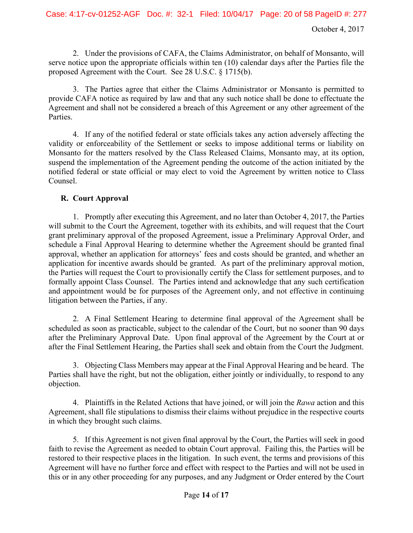2. Under the provisions of CAFA, the Claims Administrator, on behalf of Monsanto, will serve notice upon the appropriate officials within ten (10) calendar days after the Parties file the proposed Agreement with the Court. See 28 U.S.C. § 1715(b).

3. The Parties agree that either the Claims Administrator or Monsanto is permitted to provide CAFA notice as required by law and that any such notice shall be done to effectuate the Agreement and shall not be considered a breach of this Agreement or any other agreement of the Parties.

4. If any of the notified federal or state officials takes any action adversely affecting the validity or enforceability of the Settlement or seeks to impose additional terms or liability on Monsanto for the matters resolved by the Class Released Claims, Monsanto may, at its option, suspend the implementation of the Agreement pending the outcome of the action initiated by the notified federal or state official or may elect to void the Agreement by written notice to Class Counsel.

#### **R. Court Approval**

1. Promptly after executing this Agreement, and no later than October 4, 2017, the Parties will submit to the Court the Agreement, together with its exhibits, and will request that the Court grant preliminary approval of the proposed Agreement, issue a Preliminary Approval Order, and schedule a Final Approval Hearing to determine whether the Agreement should be granted final approval, whether an application for attorneys' fees and costs should be granted, and whether an application for incentive awards should be granted. As part of the preliminary approval motion, the Parties will request the Court to provisionally certify the Class for settlement purposes, and to formally appoint Class Counsel. The Parties intend and acknowledge that any such certification and appointment would be for purposes of the Agreement only, and not effective in continuing litigation between the Parties, if any.

2. A Final Settlement Hearing to determine final approval of the Agreement shall be scheduled as soon as practicable, subject to the calendar of the Court, but no sooner than 90 days after the Preliminary Approval Date. Upon final approval of the Agreement by the Court at or after the Final Settlement Hearing, the Parties shall seek and obtain from the Court the Judgment.

3. Objecting Class Members may appear at the Final Approval Hearing and be heard. The Parties shall have the right, but not the obligation, either jointly or individually, to respond to any objection.

4. Plaintiffs in the Related Actions that have joined, or will join the *Rawa* action and this Agreement, shall file stipulations to dismiss their claims without prejudice in the respective courts in which they brought such claims.

5. If this Agreement is not given final approval by the Court, the Parties will seek in good faith to revise the Agreement as needed to obtain Court approval. Failing this, the Parties will be restored to their respective places in the litigation. In such event, the terms and provisions of this Agreement will have no further force and effect with respect to the Parties and will not be used in this or in any other proceeding for any purposes, and any Judgment or Order entered by the Court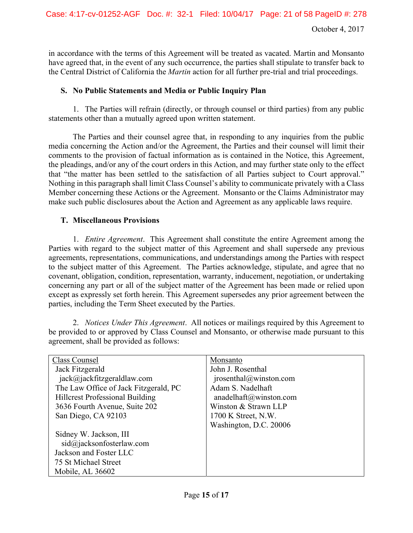in accordance with the terms of this Agreement will be treated as vacated. Martin and Monsanto have agreed that, in the event of any such occurrence, the parties shall stipulate to transfer back to the Central District of California the *Martin* action for all further pre-trial and trial proceedings.

#### **S. No Public Statements and Media or Public Inquiry Plan**

1. The Parties will refrain (directly, or through counsel or third parties) from any public statements other than a mutually agreed upon written statement.

The Parties and their counsel agree that, in responding to any inquiries from the public media concerning the Action and/or the Agreement, the Parties and their counsel will limit their comments to the provision of factual information as is contained in the Notice, this Agreement, the pleadings, and/or any of the court orders in this Action, and may further state only to the effect that "the matter has been settled to the satisfaction of all Parties subject to Court approval." Nothing in this paragraph shall limit Class Counsel's ability to communicate privately with a Class Member concerning these Actions or the Agreement. Monsanto or the Claims Administrator may make such public disclosures about the Action and Agreement as any applicable laws require.

#### **T. Miscellaneous Provisions**

1. *Entire Agreement*.This Agreement shall constitute the entire Agreement among the Parties with regard to the subject matter of this Agreement and shall supersede any previous agreements, representations, communications, and understandings among the Parties with respect to the subject matter of this Agreement. The Parties acknowledge, stipulate, and agree that no covenant, obligation, condition, representation, warranty, inducement, negotiation, or undertaking concerning any part or all of the subject matter of the Agreement has been made or relied upon except as expressly set forth herein. This Agreement supersedes any prior agreement between the parties, including the Term Sheet executed by the Parties.

2. *Notices Under This Agreement*.All notices or mailings required by this Agreement to be provided to or approved by Class Counsel and Monsanto, or otherwise made pursuant to this agreement, shall be provided as follows:

| Class Counsel                          | Monsanto                                 |
|----------------------------------------|------------------------------------------|
| Jack Fitzgerald                        | John J. Rosenthal                        |
| jack@iackfitzgeraldlaw.com             | $\text{iposenthal}(\hat{a})$ winston.com |
| The Law Office of Jack Fitzgerald, PC  | Adam S. Nadelhaft                        |
| <b>Hillcrest Professional Building</b> | anadelhaft@winston.com                   |
| 3636 Fourth Avenue, Suite 202          | Winston & Strawn LLP                     |
| San Diego, CA 92103                    | 1700 K Street, N.W.                      |
|                                        | Washington, D.C. 20006                   |
| Sidney W. Jackson, III                 |                                          |
| sid@jacksonfosterlaw.com               |                                          |
| Jackson and Foster LLC                 |                                          |
| 75 St Michael Street                   |                                          |
| Mobile, AL 36602                       |                                          |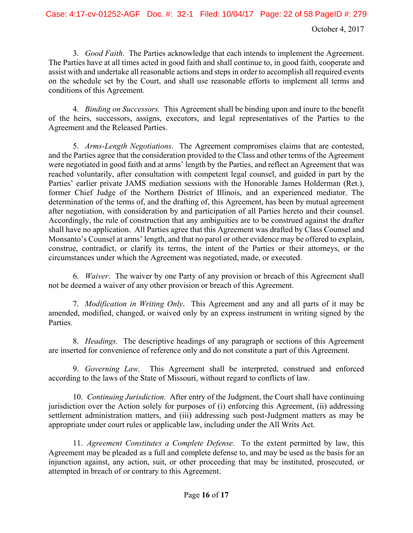3. *Good Faith*. The Parties acknowledge that each intends to implement the Agreement. The Parties have at all times acted in good faith and shall continue to, in good faith, cooperate and assist with and undertake all reasonable actions and steps in order to accomplish all required events on the schedule set by the Court, and shall use reasonable efforts to implement all terms and conditions of this Agreement.

4. *Binding on Successors.* This Agreement shall be binding upon and inure to the benefit of the heirs, successors, assigns, executors, and legal representatives of the Parties to the Agreement and the Released Parties.

5. *Arms-Length Negotiations*. The Agreement compromises claims that are contested, and the Parties agree that the consideration provided to the Class and other terms of the Agreement were negotiated in good faith and at arms' length by the Parties, and reflect an Agreement that was reached voluntarily, after consultation with competent legal counsel, and guided in part by the Parties' earlier private JAMS mediation sessions with the Honorable James Holderman (Ret.), former Chief Judge of the Northern District of Illinois, and an experienced mediator. The determination of the terms of, and the drafting of, this Agreement, has been by mutual agreement after negotiation, with consideration by and participation of all Parties hereto and their counsel. Accordingly, the rule of construction that any ambiguities are to be construed against the drafter shall have no application. All Parties agree that this Agreement was drafted by Class Counsel and Monsanto's Counsel at arms' length, and that no parol or other evidence may be offered to explain, construe, contradict, or clarify its terms, the intent of the Parties or their attorneys, or the circumstances under which the Agreement was negotiated, made, or executed.

6. *Waiver*. The waiver by one Party of any provision or breach of this Agreement shall not be deemed a waiver of any other provision or breach of this Agreement.

7. *Modification in Writing Only*. This Agreement and any and all parts of it may be amended, modified, changed, or waived only by an express instrument in writing signed by the Parties.

8. *Headings.* The descriptive headings of any paragraph or sections of this Agreement are inserted for convenience of reference only and do not constitute a part of this Agreement.

9. *Governing Law.*This Agreement shall be interpreted, construed and enforced according to the laws of the State of Missouri, without regard to conflicts of law.

10. *Continuing Jurisdiction.*After entry of the Judgment, the Court shall have continuing jurisdiction over the Action solely for purposes of (i) enforcing this Agreement, (ii) addressing settlement administration matters, and (iii) addressing such post-Judgment matters as may be appropriate under court rules or applicable law, including under the All Writs Act.

11. *Agreement Constitutes a Complete Defense.* To the extent permitted by law, this Agreement may be pleaded as a full and complete defense to, and may be used as the basis for an injunction against, any action, suit, or other proceeding that may be instituted, prosecuted, or attempted in breach of or contrary to this Agreement.